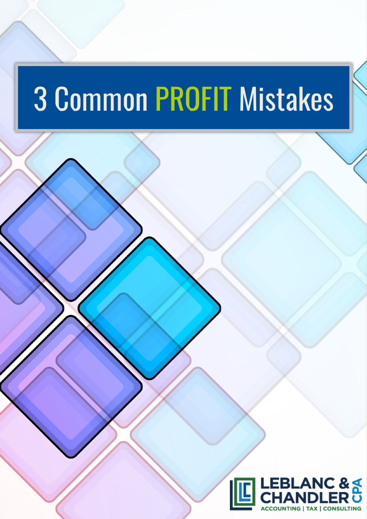# Common PROFIT Mistakes

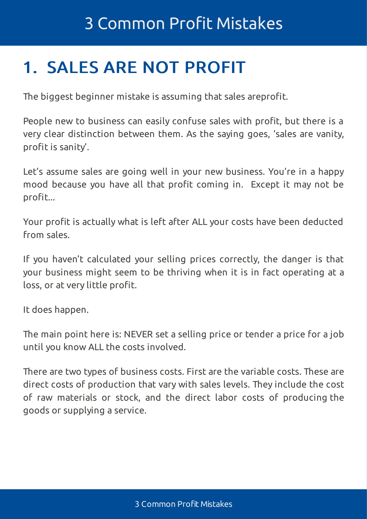### 1. SALES ARE NOT PROFIT

The biggest beginner mistake is assuming that sales areprofit.

People new to business can easily confuse sales with profit, but there is a very clear distinction between them. As the saying goes, 'sales are vanity, profit is sanity'.

Let's assume sales are going well in your new business. You're in a happy mood because you have all that profit coming in. Except it may not be profit...

Your profit is actually what is left after ALL your costs have been deducted from sales.

If you haven't calculated your selling prices correctly, the danger is that your business might seem to be thriving when it is in fact operating at a loss, or at very little profit.

It does happen.

The main point here is: NEVER set a selling price or tender a price for a job until you know ALL the costs involved.

There are two types of business costs. First are the variable costs. These are direct costs of production that vary with sales levels. They include the cost of raw materials or stock, and the direct labor costs of producing the goods or supplying a service.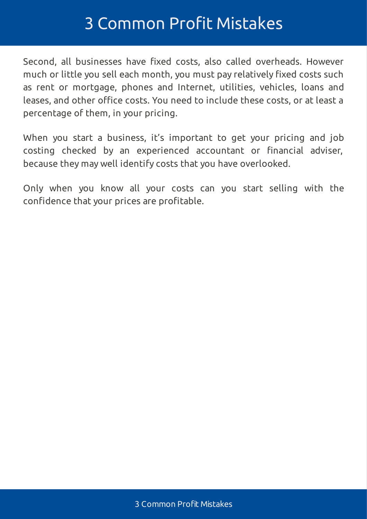#### 3 Common Profit Mistakes

Second, all businesses have fixed costs, also called overheads. However much or little you sell each month, you must pay relatively fixed costs such as rent or mortgage, phones and Internet, utilities, vehicles, loans and leases, and other office costs. You need to include these costs, or at least a percentage of them, in your pricing.

When you start a business, it's important to get your pricing and job costing checked by an experienced accountant or financial adviser, because they may well identify costs that you have overlooked.

Only when you know all your costs can you start selling with the confidence that your prices are profitable.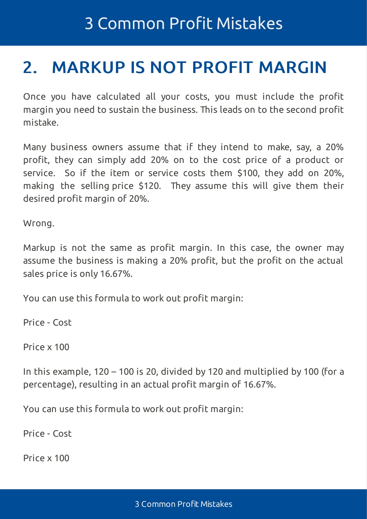#### <span id="page-3-0"></span>2. MARKUP IS NOT PROFIT MARGIN

Once you have calculated all your costs, you must include the profit margin you need to sustain the business. This leads on to the second profit mistake.

Many business owners assume that if they intend to make, say, a 20% profit, they can simply add 20% on to the cost price of a product or service. So if the item or service costs them \$100, they add on 20%, making the selling price \$120. They assume this will give them their desired profit margin of 20%.

Wrong.

Markup is not the same as profit margin. In this case, the owner may assume the business is making a 20% profit, but the profit on the actual sales price is only 16.67%.

You can use this formula to work out profit margin:

Price - Cost

Price x 100

In this example, 120 – 100 is 20, divided by 120 and multiplied by 100 (for a percentage), resulting in an actual profit margin of 16.67%.

You can use this formula to work out profit margin:

Price - Cost

Price x 100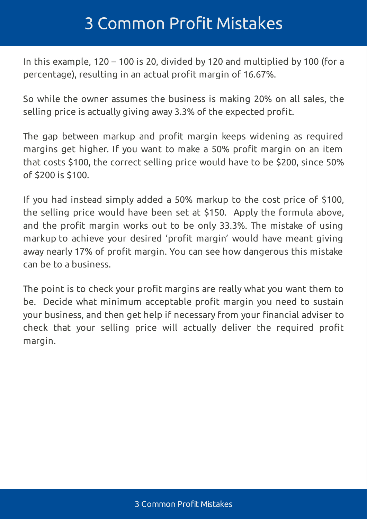#### 3 Common Profit Mistakes

In this example, 120 – 100 is 20, divided by 120 and multiplied by 100 (for a percentage), resulting in an actual profit margin of 16.67%.

So while the owner assumes the business is making 20% on all sales, the selling price is actually giving away 3.3% of the expected profit.

The gap between markup and profit margin keeps widening as required margins get higher. If you want to make a 50% profit margin on an item that costs \$100, the correct selling price would have to be \$200, since 50% of \$200 is \$100.

If you had instead simply added a 50% markup to the cost price of \$100, the selling price would have been set at \$150. Apply the formula above, and the profit margin works out to be only 33.3%. The mistake of using markup to achieve your desired 'profit margin' would have meant giving away nearly 17% of profit margin. You can see how dangerous this mistake can be to a business.

The point is to check your profit margins are really what you want them to be. Decide what minimum acceptable profit margin you need to sustain your business, and then get help if necessary from your financial adviser to check that your selling price will actually deliver the required profit margin.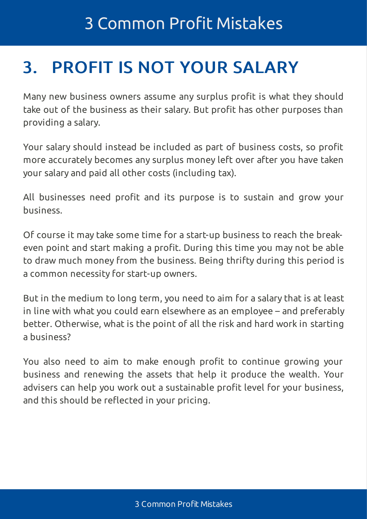## 3. PROFIT IS NOT YOUR SALARY

Many new business owners assume any surplus profit is what they should take out of the business as their salary. But profit has other purposes than providing a salary.

Your salary should instead be included as part of business costs, so profit more accurately becomes any surplus money left over after you have taken your salary and paid all other costs (including tax).

All businesses need profit and its purpose is to sustain and grow your business.

Of course it may take some time for a start-up business to reach the breakeven point and start making a profit. During this time you may not be able to draw much money from the business. Being thrifty during this period is a common necessity for start-up owners.

But in the medium to long term, you need to aim for a salary that is at least in line with what you could earn elsewhere as an employee – and preferably better. Otherwise, what is the point of all the risk and hard work in starting a business?

You also need to aim to make enough profit to continue growing your business and renewing the assets that help it produce the wealth. Your advisers can help you work out a sustainable profit level for your business, and this should be reflected in your pricing.